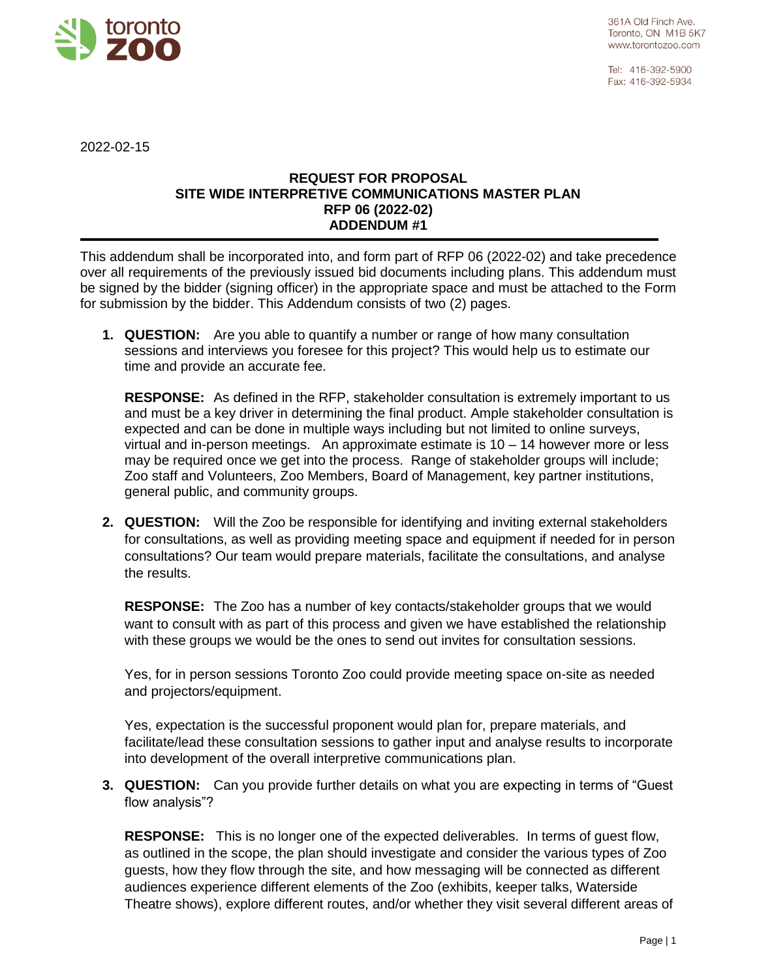

Tel: 416-392-5900 Fax: 416-392-5934

2022-02-15

## **REQUEST FOR PROPOSAL SITE WIDE INTERPRETIVE COMMUNICATIONS MASTER PLAN RFP 06 (2022-02) ADDENDUM #1**

This addendum shall be incorporated into, and form part of RFP 06 (2022-02) and take precedence over all requirements of the previously issued bid documents including plans. This addendum must be signed by the bidder (signing officer) in the appropriate space and must be attached to the Form for submission by the bidder. This Addendum consists of two (2) pages.

**1. QUESTION:** Are you able to quantify a number or range of how many consultation sessions and interviews you foresee for this project? This would help us to estimate our time and provide an accurate fee.

**RESPONSE:** As defined in the RFP, stakeholder consultation is extremely important to us and must be a key driver in determining the final product. Ample stakeholder consultation is expected and can be done in multiple ways including but not limited to online surveys, virtual and in-person meetings. An approximate estimate is 10 – 14 however more or less may be required once we get into the process. Range of stakeholder groups will include; Zoo staff and Volunteers, Zoo Members, Board of Management, key partner institutions, general public, and community groups.

**2. QUESTION:** Will the Zoo be responsible for identifying and inviting external stakeholders for consultations, as well as providing meeting space and equipment if needed for in person consultations? Our team would prepare materials, facilitate the consultations, and analyse the results.

**RESPONSE:** The Zoo has a number of key contacts/stakeholder groups that we would want to consult with as part of this process and given we have established the relationship with these groups we would be the ones to send out invites for consultation sessions.

Yes, for in person sessions Toronto Zoo could provide meeting space on-site as needed and projectors/equipment.

Yes, expectation is the successful proponent would plan for, prepare materials, and facilitate/lead these consultation sessions to gather input and analyse results to incorporate into development of the overall interpretive communications plan.

**3. QUESTION:** Can you provide further details on what you are expecting in terms of "Guest flow analysis"?

**RESPONSE:** This is no longer one of the expected deliverables. In terms of guest flow, as outlined in the scope, the plan should investigate and consider the various types of Zoo guests, how they flow through the site, and how messaging will be connected as different audiences experience different elements of the Zoo (exhibits, keeper talks, Waterside Theatre shows), explore different routes, and/or whether they visit several different areas of